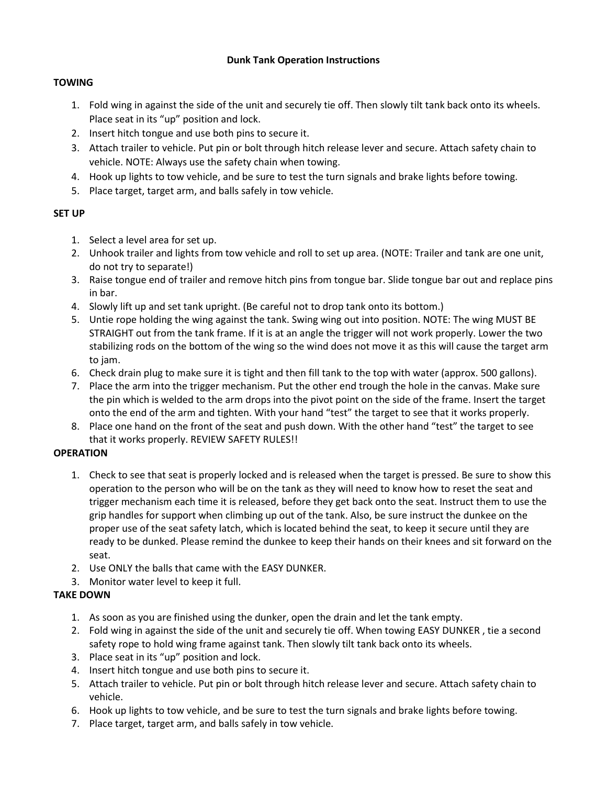## **Dunk Tank Operation Instructions**

## **TOWING**

- 1. Fold wing in against the side of the unit and securely tie off. Then slowly tilt tank back onto its wheels. Place seat in its "up" position and lock.
- 2. Insert hitch tongue and use both pins to secure it.
- 3. Attach trailer to vehicle. Put pin or bolt through hitch release lever and secure. Attach safety chain to vehicle. NOTE: Always use the safety chain when towing.
- 4. Hook up lights to tow vehicle, and be sure to test the turn signals and brake lights before towing.
- 5. Place target, target arm, and balls safely in tow vehicle.

## **SET UP**

- 1. Select a level area for set up.
- 2. Unhook trailer and lights from tow vehicle and roll to set up area. (NOTE: Trailer and tank are one unit, do not try to separate!)
- 3. Raise tongue end of trailer and remove hitch pins from tongue bar. Slide tongue bar out and replace pins in bar.
- 4. Slowly lift up and set tank upright. (Be careful not to drop tank onto its bottom.)
- 5. Untie rope holding the wing against the tank. Swing wing out into position. NOTE: The wing MUST BE STRAIGHT out from the tank frame. If it is at an angle the trigger will not work properly. Lower the two stabilizing rods on the bottom of the wing so the wind does not move it as this will cause the target arm to jam.
- 6. Check drain plug to make sure it is tight and then fill tank to the top with water (approx. 500 gallons).
- 7. Place the arm into the trigger mechanism. Put the other end trough the hole in the canvas. Make sure the pin which is welded to the arm drops into the pivot point on the side of the frame. Insert the target onto the end of the arm and tighten. With your hand "test" the target to see that it works properly.
- 8. Place one hand on the front of the seat and push down. With the other hand "test" the target to see that it works properly. REVIEW SAFETY RULES!!

#### **OPERATION**

- 1. Check to see that seat is properly locked and is released when the target is pressed. Be sure to show this operation to the person who will be on the tank as they will need to know how to reset the seat and trigger mechanism each time it is released, before they get back onto the seat. Instruct them to use the grip handles for support when climbing up out of the tank. Also, be sure instruct the dunkee on the proper use of the seat safety latch, which is located behind the seat, to keep it secure until they are ready to be dunked. Please remind the dunkee to keep their hands on their knees and sit forward on the seat.
- 2. Use ONLY the balls that came with the EASY DUNKER.
- 3. Monitor water level to keep it full.

## **TAKE DOWN**

- 1. As soon as you are finished using the dunker, open the drain and let the tank empty.
- 2. Fold wing in against the side of the unit and securely tie off. When towing EASY DUNKER , tie a second safety rope to hold wing frame against tank. Then slowly tilt tank back onto its wheels.
- 3. Place seat in its "up" position and lock.
- 4. Insert hitch tongue and use both pins to secure it.
- 5. Attach trailer to vehicle. Put pin or bolt through hitch release lever and secure. Attach safety chain to vehicle.
- 6. Hook up lights to tow vehicle, and be sure to test the turn signals and brake lights before towing.
- 7. Place target, target arm, and balls safely in tow vehicle.